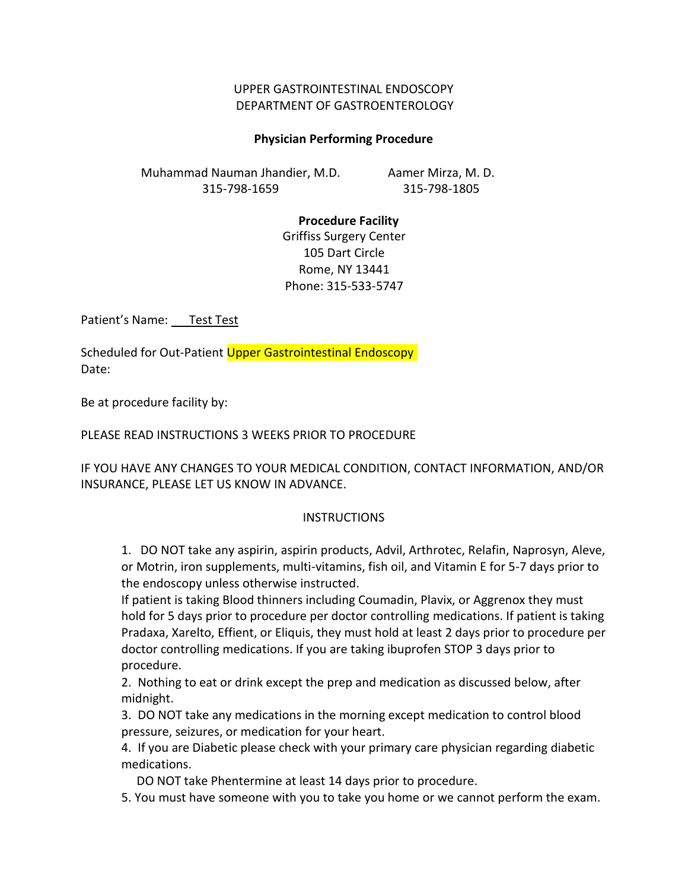## UPPER GASTROINTESTINAL ENDOSCOPY DEPARTMENT OF GASTROENTEROLOGY

### **Physician Performing Procedure**

Muhammad Nauman Jhandier, M.D. 315-798-1659

Aamer Mirza, M. D. 315-798-1805

#### **Procedure Facility**

Griffiss Surgery Center 105 Dart Circle Rome, NY 13441 Phone: 315-533-5747

Patient's Name: Test Test

Scheduled for Out-Patient Upper Gastrointestinal Endoscopy Date:

Be at procedure facility by:

#### PLEASE READ INSTRUCTIONS 3 WEEKS PRIOR TO PROCEDURE

IF YOU HAVE ANY CHANGES TO YOUR MEDICAL CONDITION, CONTACT INFORMATION, AND/OR INSURANCE, PLEASE LET US KNOW IN ADVANCE.

#### **INSTRUCTIONS**

1. DO NOT take any aspirin, aspirin products, Advil, Arthrotec, Relafin, Naprosyn, Aleve, or Motrin, iron supplements, multi-vitamins, fish oil, and Vitamin E for 5-7 days prior to the endoscopy unless otherwise instructed.

If patient is taking Blood thinners including Coumadin, Plavix, or Aggrenox they must hold for 5 days prior to procedure per doctor controlling medications. If patient is taking Pradaxa, Xarelto, Effient, or Eliquis, they must hold at least 2 days prior to procedure per doctor controlling medications. If you are taking ibuprofen STOP 3 days prior to procedure.

2. Nothing to eat or drink except the prep and medication as discussed below, after midnight.

3. DO NOT take any medications in the morning except medication to control blood pressure, seizures, or medication for your heart.

4. If you are Diabetic please check with your primary care physician regarding diabetic medications.

DO NOT take Phentermine at least 14 days prior to procedure.

5. You must have someone with you to take you home or we cannot perform the exam.